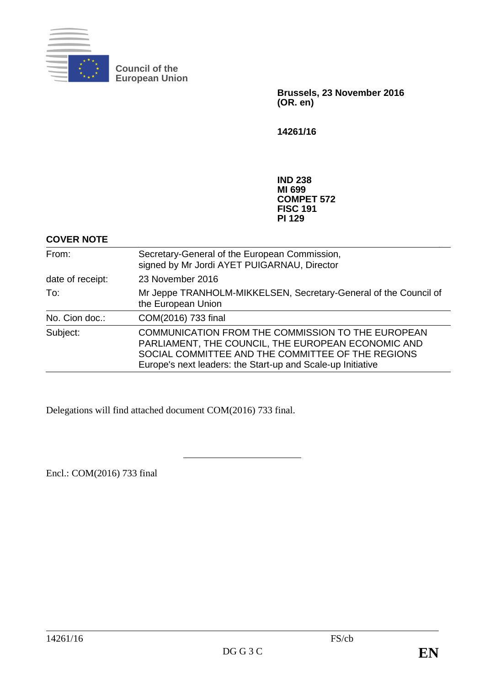

**Council of the European Union**

> **Brussels, 23 November 2016 (OR. en)**

**14261/16**

**IND 238 MI 699 COMPET 572 FISC 191 PI 129**

# **COVER NOTE**

| From:            | Secretary-General of the European Commission,<br>signed by Mr Jordi AYET PUIGARNAU, Director                                                                                                                                       |
|------------------|------------------------------------------------------------------------------------------------------------------------------------------------------------------------------------------------------------------------------------|
| date of receipt: | 23 November 2016                                                                                                                                                                                                                   |
| To:              | Mr Jeppe TRANHOLM-MIKKELSEN, Secretary-General of the Council of<br>the European Union                                                                                                                                             |
| No. Cion doc.:   | COM(2016) 733 final                                                                                                                                                                                                                |
| Subject:         | <b>COMMUNICATION FROM THE COMMISSION TO THE EUROPEAN</b><br>PARLIAMENT, THE COUNCIL, THE EUROPEAN ECONOMIC AND<br>SOCIAL COMMITTEE AND THE COMMITTEE OF THE REGIONS<br>Europe's next leaders: the Start-up and Scale-up Initiative |

Delegations will find attached document COM(2016) 733 final.

Encl.: COM(2016) 733 final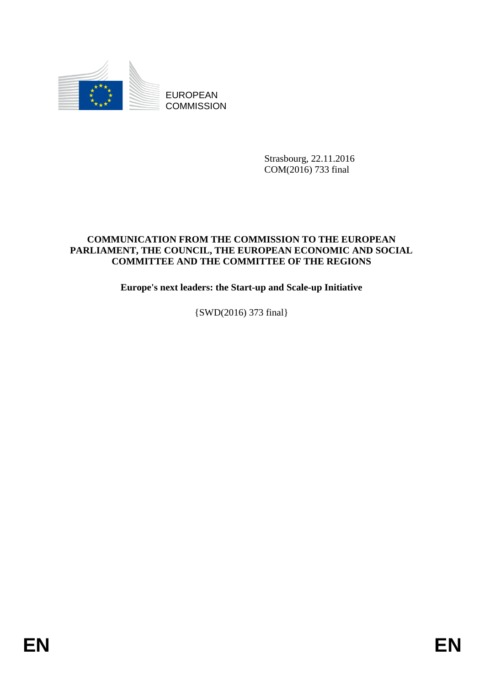

EUROPEAN **COMMISSION** 

> Strasbourg, 22.11.2016 COM(2016) 733 final

# **COMMUNICATION FROM THE COMMISSION TO THE EUROPEAN PARLIAMENT, THE COUNCIL, THE EUROPEAN ECONOMIC AND SOCIAL COMMITTEE AND THE COMMITTEE OF THE REGIONS**

**Europe's next leaders: the Start-up and Scale-up Initiative**

{SWD(2016) 373 final}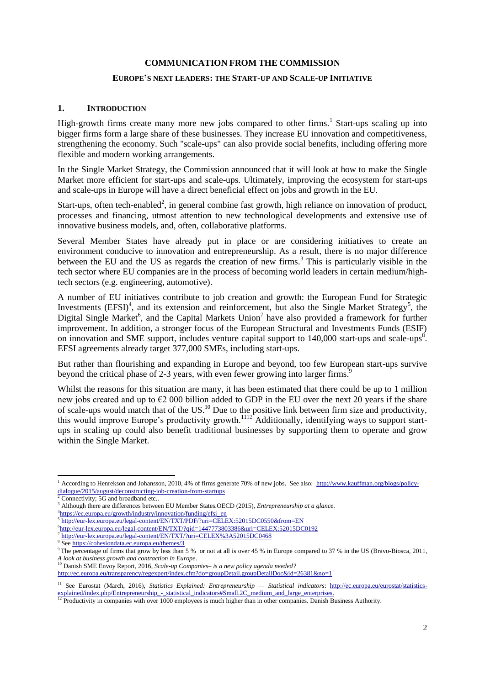#### **COMMUNICATION FROM THE COMMISSION**

#### **EUROPE'S NEXT LEADERS: THE START-UP AND SCALE-UP INITIATIVE**

#### **1. INTRODUCTION**

High-growth firms create many more new jobs compared to other firms.<sup>1</sup> Start-ups scaling up into bigger firms form a large share of these businesses. They increase EU innovation and competitiveness, strengthening the economy. Such "scale-ups" can also provide social benefits, including offering more flexible and modern working arrangements.

In the Single Market Strategy, the Commission announced that it will look at how to make the Single Market more efficient for start-ups and scale-ups. Ultimately, improving the ecosystem for start-ups and scale-ups in Europe will have a direct beneficial effect on jobs and growth in the EU.

Start-ups, often tech-enabled<sup>2</sup>, in general combine fast growth, high reliance on innovation of product, processes and financing, utmost attention to new technological developments and extensive use of innovative business models, and, often, collaborative platforms.

Several Member States have already put in place or are considering initiatives to create an environment conducive to innovation and entrepreneurship. As a result, there is no major difference between the EU and the US as regards the creation of new firms.<sup>3</sup> This is particularly visible in the tech sector where EU companies are in the process of becoming world leaders in certain medium/hightech sectors (e.g. engineering, automotive).

A number of EU initiatives contribute to job creation and growth: the European Fund for Strategic Investments  $(EFSI)^4$ , and its extension and reinforcement, but also the Single Market Strategy<sup>5</sup>, the Digital Single Market<sup>6</sup>, and the Capital Markets Union<sup>7</sup> have also provided a framework for further improvement. In addition, a stronger focus of the European Structural and Investments Funds (ESIF) on innovation and SME support, includes venture capital support to 140,000 start-ups and scale-ups<sup>8</sup>. EFSI agreements already target 377,000 SMEs, including start-ups.

But rather than flourishing and expanding in Europe and beyond, too few European start-ups survive beyond the critical phase of 2-3 years, with even fewer growing into larger firms.<sup>9</sup>

Whilst the reasons for this situation are many, it has been estimated that there could be up to 1 million new jobs created and up to €2 000 billion added to GDP in the EU over the next 20 years if the share of scale-ups would match that of the US.<sup>10</sup> Due to the positive link between firm size and productivity, this would improve Europe's productivity growth.<sup>1112</sup> Additionally, identifying ways to support startups in scaling up could also benefit traditional businesses by supporting them to operate and grow within the Single Market.

7 http://eur-lex.europa.eu/legal-content/EN/TXT/?uri=CELEX%3A52015DC0468

**<sup>.</sup>** <sup>1</sup> According to Henrekson and Johansson, 2010, 4% of firms generate 70% of new jobs. See also: [http://www.kauffman.org/blogs/policy](http://www.kauffman.org/blogs/policy-dialogue/2015/august/deconstructing-job-creation-from-startups)[dialogue/2015/august/deconstructing-job-creation-from-startups](http://www.kauffman.org/blogs/policy-dialogue/2015/august/deconstructing-job-creation-from-startups)

Connectivity; 5G and broadband etc..

<sup>3</sup> Although there are differences between EU Member States.OECD (2015), *Entrepreneurship at a glance.*

<sup>&</sup>lt;sup>4</sup>https://ec.europa.eu/growth/industry/innovation/funding/efsi\_en

<sup>&</sup>lt;sup>5</sup> http://eur-lex.europa.eu/legal-content/EN/TXT/PDF/?uri=CELEX:52015DC0550&from=EN

<sup>6</sup> http://eur-lex.europa.eu/legal-content/EN/TXT/?qid=1447773803386&uri=CELEX:52015DC0192

<sup>8</sup> See<https://cohesiondata.ec.europa.eu/themes/3>

<sup>&</sup>lt;sup>9</sup> The percentage of firms that grow by less than 5 % or not at all is over 45 % in Europe compared to 37 % in the US (Bravo-Biosca, 2011, *A look at business growth and contraction in Europe*.

<sup>10</sup> Danish SME Envoy Report, 2016, *Scale-up Companies– is a new policy agenda needed?*

<http://ec.europa.eu/transparency/regexpert/index.cfm?do=groupDetail.groupDetailDoc&id=26381&no=1>

<sup>&</sup>lt;sup>11</sup> See Eurostat (March, 2016), *Statistics Explained: Entrepreneurship* — *Statistical indicators*: [http://ec.europa.eu/eurostat/statistics](http://ec.europa.eu/eurostat/statistics-explained/index.php/Entrepreneurship_-_statistical_indicators#Small.2C_medium_and_large_enterprises)[explained/index.php/Entrepreneurship\\_-\\_statistical\\_indicators#Small.2C\\_medium\\_and\\_large\\_enterprises.](http://ec.europa.eu/eurostat/statistics-explained/index.php/Entrepreneurship_-_statistical_indicators#Small.2C_medium_and_large_enterprises)

<sup>&</sup>lt;sup>12</sup> Productivity in companies with over 1000 employees is much higher than in other companies. Danish Business Authority.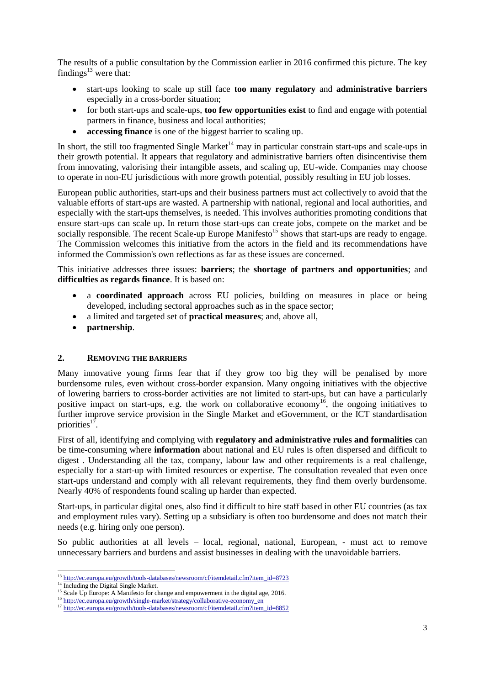The results of a public consultation by the Commission earlier in 2016 confirmed this picture. The key findings $^{13}$  were that:

- start-ups looking to scale up still face **too many regulatory** and **administrative barriers** especially in a cross-border situation;
- for both start-ups and scale-ups, **too few opportunities exist** to find and engage with potential partners in finance, business and local authorities;
- **accessing finance** is one of the biggest barrier to scaling up.

In short, the still too fragmented Single Market<sup>14</sup> may in particular constrain start-ups and scale-ups in their growth potential. It appears that regulatory and administrative barriers often disincentivise them from innovating, valorising their intangible assets, and scaling up, EU-wide. Companies may choose to operate in non-EU jurisdictions with more growth potential, possibly resulting in EU job losses.

European public authorities, start-ups and their business partners must act collectively to avoid that the valuable efforts of start-ups are wasted. A partnership with national, regional and local authorities, and especially with the start-ups themselves, is needed. This involves authorities promoting conditions that ensure start-ups can scale up. In return those start-ups can create jobs, compete on the market and be socially responsible. The recent Scale-up Europe Manifesto<sup>15</sup> shows that start-ups are ready to engage. The Commission welcomes this initiative from the actors in the field and its recommendations have informed the Commission's own reflections as far as these issues are concerned.

This initiative addresses three issues: **barriers**; the **shortage of partners and opportunities**; and **difficulties as regards finance**. It is based on:

- a **coordinated approach** across EU policies, building on measures in place or being developed, including sectoral approaches such as in the space sector;
- a limited and targeted set of **practical measures**; and, above all,
- **partnership**.

#### **2. REMOVING THE BARRIERS**

Many innovative young firms fear that if they grow too big they will be penalised by more burdensome rules, even without cross-border expansion. Many ongoing initiatives with the objective of lowering barriers to cross-border activities are not limited to start-ups, but can have a particularly positive impact on start-ups, e.g. the work on collaborative economy<sup>16</sup>, the ongoing initiatives to further improve service provision in the Single Market and eGovernment, or the ICT standardisation priorities<sup>17</sup>.

First of all, identifying and complying with **regulatory and administrative rules and formalities** can be time-consuming where **information** about national and EU rules is often dispersed and difficult to digest . Understanding all the tax, company, labour law and other requirements is a real challenge, especially for a start-up with limited resources or expertise. The consultation revealed that even once start-ups understand and comply with all relevant requirements, they find them overly burdensome. Nearly 40% of respondents found scaling up harder than expected.

Start-ups, in particular digital ones, also find it difficult to hire staff based in other EU countries (as tax and employment rules vary). Setting up a subsidiary is often too burdensome and does not match their needs (e.g. hiring only one person).

So public authorities at all levels – local, regional, national, European, - must act to remove unnecessary barriers and burdens and assist businesses in dealing with the unavoidable barriers.

**.** 

<sup>&</sup>lt;sup>13</sup> [http://ec.europa.eu/growth/tools-databases/newsroom/cf/itemdetail.cfm?item\\_id=8723](http://ec.europa.eu/growth/tools-databases/newsroom/cf/itemdetail.cfm?item_id=8723)

<sup>&</sup>lt;sup>14</sup> Including the Digital Single Market.

<sup>&</sup>lt;sup>15</sup> Scale Up Europe: A Manifesto for change and empowerment in the digital age, 2016.

<sup>&</sup>lt;sup>16</sup> http://ec.europa.e<u>u/growth/single-market/strategy/collaborative-economy\_en</u>

<sup>&</sup>lt;sup>17</sup> [http://ec.europa.eu/growth/tools-databases/newsroom/cf/itemdetail.cfm?item\\_id=8852](http://ec.europa.eu/growth/tools-databases/newsroom/cf/itemdetail.cfm?item_id=8852)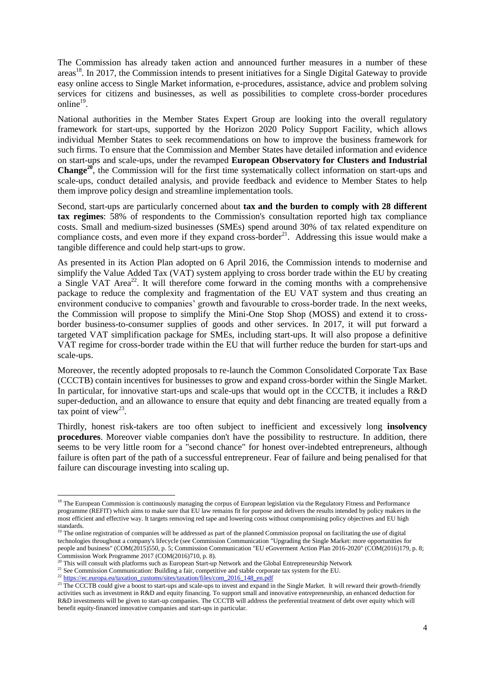The Commission has already taken action and announced further measures in a number of these areas<sup>18</sup>. In 2017, the Commission intends to present initiatives for a Single Digital Gateway to provide easy online access to Single Market information, e-procedures, assistance, advice and problem solving services for citizens and businesses, as well as possibilities to complete cross-border procedures online<sup>19</sup>.

National authorities in the Member States Expert Group are looking into the overall regulatory framework for start-ups, supported by the Horizon 2020 Policy Support Facility, which allows individual Member States to seek recommendations on how to improve the business framework for such firms. To ensure that the Commission and Member States have detailed information and evidence on start-ups and scale-ups, under the revamped **European Observatory for Clusters and Industrial Change<sup>20</sup>**, the Commission will for the first time systematically collect information on start-ups and scale-ups, conduct detailed analysis, and provide feedback and evidence to Member States to help them improve policy design and streamline implementation tools.

Second, start-ups are particularly concerned about **tax and the burden to comply with 28 different tax regimes**: 58% of respondents to the Commission's consultation reported high tax compliance costs. Small and medium-sized businesses (SMEs) spend around 30% of tax related expenditure on compliance costs, and even more if they expand cross-border<sup>21</sup>. Addressing this issue would make a tangible difference and could help start-ups to grow.

As presented in its Action Plan adopted on 6 April 2016, the Commission intends to modernise and simplify the Value Added Tax (VAT) system applying to cross border trade within the EU by creating a Single VAT Area<sup>22</sup>. It will therefore come forward in the coming months with a comprehensive package to reduce the complexity and fragmentation of the EU VAT system and thus creating an environment conducive to companies' growth and favourable to cross-border trade. In the next weeks, the Commission will propose to simplify the Mini-One Stop Shop (MOSS) and extend it to crossborder business-to-consumer supplies of goods and other services. In 2017, it will put forward a targeted VAT simplification package for SMEs, including start-ups. It will also propose a definitive VAT regime for cross-border trade within the EU that will further reduce the burden for start-ups and scale-ups.

Moreover, the recently adopted proposals to re-launch the Common Consolidated Corporate Tax Base (CCCTB) contain incentives for businesses to grow and expand cross-border within the Single Market. In particular, for innovative start-ups and scale-ups that would opt in the CCCTB, it includes a R&D super-deduction, and an allowance to ensure that equity and debt financing are treated equally from a tax point of view<sup>23</sup>.

Thirdly, honest risk-takers are too often subject to inefficient and excessively long **insolvency procedures**. Moreover viable companies don't have the possibility to restructure. In addition, there seems to be very little room for a "second chance" for honest over-indebted entrepreneurs, although failure is often part of the path of a successful entrepreneur. Fear of failure and being penalised for that failure can discourage investing into scaling up.

**.** 

<sup>&</sup>lt;sup>18</sup> The European Commission is continuously managing the corpus of European legislation via the Regulatory Fitness and Performance programme (REFIT) which aims to make sure that EU law remains fit for purpose and delivers the results intended by policy makers in the most efficient and effective way. It targets removing red tape and lowering costs without compromising policy objectives and EU high standards.

<sup>&</sup>lt;sup>19</sup> The online registration of companies will be addressed as part of the planned Commission proposal on facilitating the use of digital technologies throughout a company's lifecycle (see Commission Communication "Upgrading the Single Market: more opportunities for people and business" (COM(2015)550, p. 5; Commission Communication "EU eGoverment Action Plan 2016-2020" (COM(2016)179, p. 8; Commission Work Programme 2017 (COM(2016)710, p. 8).

<sup>20</sup> This will consult with platforms such as European Start-up Network and the Global Entrepreneurship Network

<sup>&</sup>lt;sup>21</sup> See Commission Communication: Building a fair, competitive and stable corporate tax system for the EU.

<sup>&</sup>lt;sup>22</sup> [https://ec.europa.eu/taxation\\_customs/sites/taxation/files/com\\_2016\\_148\\_en.pdf](https://ec.europa.eu/taxation_customs/sites/taxation/files/com_2016_148_en.pdf)

<sup>&</sup>lt;sup>23</sup> The CCCTB could give a boost to start-ups and scale-ups to invest and expand in the Single Market. It will reward their growth-friendly activities such as investment in R&D and equity financing. To support small and innovative entrepreneurship, an enhanced deduction for R&D investments will be given to start-up companies. The CCCTB will address the preferential treatment of debt over equity which will benefit equity-financed innovative companies and start-ups in particular.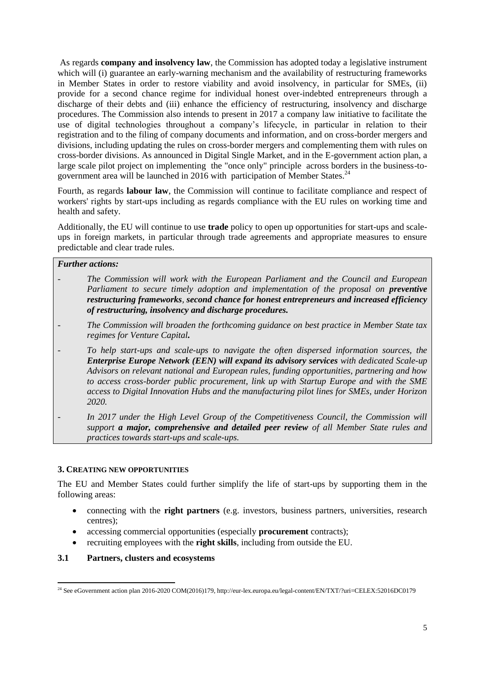As regards **company and insolvency law**, the Commission has adopted today a legislative instrument which will (i) guarantee an early-warning mechanism and the availability of restructuring frameworks in Member States in order to restore viability and avoid insolvency, in particular for SMEs, (ii) provide for a second chance regime for individual honest over-indebted entrepreneurs through a discharge of their debts and (iii) enhance the efficiency of restructuring, insolvency and discharge procedures. The Commission also intends to present in 2017 a company law initiative to facilitate the use of digital technologies throughout a company's lifecycle, in particular in relation to their registration and to the filing of company documents and information, and on cross-border mergers and divisions, including updating the rules on cross-border mergers and complementing them with rules on cross-border divisions. As announced in Digital Single Market, and in the E-government action plan, a large scale pilot project on implementing the "once only" principle across borders in the business-togovernment area will be launched in 2016 with participation of Member States.<sup>24</sup>

Fourth, as regards **labour law**, the Commission will continue to facilitate compliance and respect of workers' rights by start-ups including as regards compliance with the EU rules on working time and health and safety.

Additionally, the EU will continue to use **trade** policy to open up opportunities for start-ups and scaleups in foreign markets, in particular through trade agreements and appropriate measures to ensure predictable and clear trade rules.

#### *Further actions:*

- *- The Commission will work with the European Parliament and the Council and European Parliament to secure timely adoption and implementation of the proposal on preventive restructuring frameworks, second chance for honest entrepreneurs and increased efficiency of restructuring, insolvency and discharge procedures.*
- *- The Commission will broaden the forthcoming guidance on best practice in Member State tax regimes for Venture Capital.*
- *To help start-ups and scale-ups to navigate the often dispersed information sources, the Enterprise Europe Network (EEN) will expand its advisory services with dedicated Scale-up Advisors on relevant national and European rules, funding opportunities, partnering and how to access cross-border public procurement, link up with Startup Europe and with the SME access to Digital Innovation Hubs and the manufacturing pilot lines for SMEs, under Horizon 2020.*
- *- In 2017 under the High Level Group of the Competitiveness Council, the Commission will support a major, comprehensive and detailed peer review of all Member State rules and practices towards start-ups and scale-ups.*

# **3. CREATING NEW OPPORTUNITIES**

The EU and Member States could further simplify the life of start-ups by supporting them in the following areas:

- connecting with the **right partners** (e.g. investors, business partners, universities, research centres);
- accessing commercial opportunities (especially **procurement** contracts);
- recruiting employees with the **right skills**, including from outside the EU.

# **3.1 Partners, clusters and ecosystems**

<sup>1</sup> <sup>24</sup> See eGovernment action plan 2016-2020 COM(2016)179[, http://eur-lex.europa.eu/legal-content/EN/TXT/?uri=CELEX:52016DC0179](http://eur-lex.europa.eu/legal-content/EN/TXT/?uri=CELEX:52016DC0179)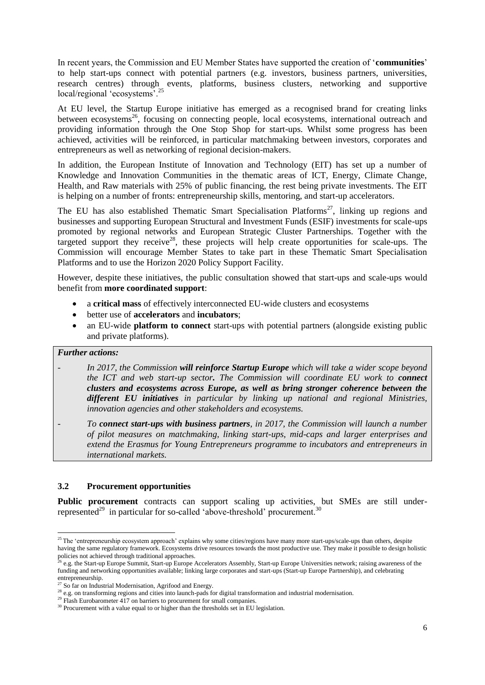In recent years, the Commission and EU Member States have supported the creation of '**communities**' to help start-ups connect with potential partners (e.g. investors, business partners, universities, research centres) through events, platforms, business clusters, networking and supportive local/regional 'ecosystems'.<sup>25</sup>

At EU level, the Startup Europe initiative has emerged as a recognised brand for creating links between ecosystems<sup>26</sup>, focusing on connecting people, local ecosystems, international outreach and providing information through the One Stop Shop for start-ups. Whilst some progress has been achieved, activities will be reinforced, in particular matchmaking between investors, corporates and entrepreneurs as well as networking of regional decision-makers.

In addition, the European Institute of Innovation and Technology (EIT) has set up a number of Knowledge and Innovation Communities in the thematic areas of ICT, Energy, Climate Change, Health, and Raw materials with 25% of public financing, the rest being private investments. The EIT is helping on a number of fronts: entrepreneurship skills, mentoring, and start-up accelerators.

The EU has also established Thematic Smart Specialisation Platforms<sup>27</sup>, linking up regions and businesses and supporting European Structural and Investment Funds (ESIF) investments for scale-ups promoted by regional networks and European Strategic Cluster Partnerships. Together with the targeted support they receive<sup>28</sup>, these projects will help create opportunities for scale-ups. The Commission will encourage Member States to take part in these Thematic Smart Specialisation Platforms and to use the Horizon 2020 Policy Support Facility.

However, despite these initiatives, the public consultation showed that start-ups and scale-ups would benefit from **more coordinated support**:

- a **critical mass** of effectively interconnected EU-wide clusters and ecosystems
- better use of **accelerators** and **incubators**;
- an EU-wide **platform to connect** start-ups with potential partners (alongside existing public and private platforms).

# *Further actions:*

- *- In 2017, the Commission will reinforce Startup Europe which will take a wider scope beyond the ICT and web start-up sector. The Commission will coordinate EU work to connect clusters and ecosystems across Europe, as well as bring stronger coherence between the different EU initiatives in particular by linking up national and regional Ministries, innovation agencies and other stakeholders and ecosystems.*
- *- To connect start-ups with business partners, in 2017, the Commission will launch a number of pilot measures on matchmaking, linking start-ups, mid-caps and larger enterprises and extend the Erasmus for Young Entrepreneurs programme to incubators and entrepreneurs in international markets.*

#### **3.2 Procurement opportunities**

**Public procurement** contracts can support scaling up activities, but SMEs are still underrepresented<sup>29</sup> in particular for so-called 'above-threshold' procurement.<sup>30</sup>

<sup>1</sup>  $25$  The 'entrepreneurship ecosystem approach' explains why some cities/regions have many more start-ups/scale-ups than others, despite having the same regulatory framework. Ecosystems drive resources towards the most productive use. They make it possible to design holistic policies not achieved through traditional approaches.

<sup>26</sup> e.g. the Start-up Europe Summit, Start-up Europe Accelerators Assembly, Start-up Europe Universities network; raising awareness of the funding and networking opportunities available; linking large corporates and start-ups (Start-up Europe Partnership), and celebrating entrepreneurship.

So far on Industrial Modernisation, Agrifood and Energy.

<sup>&</sup>lt;sup>28</sup> e.g. on transforming regions and cities into launch-pads for digital transformation and industrial modernisation.

 $^{29}$  Flash Eurobarometer 417 on barriers to procurement for small companies.

<sup>&</sup>lt;sup>30</sup> Procurement with a value equal to or higher than the thresholds set in EU legislation.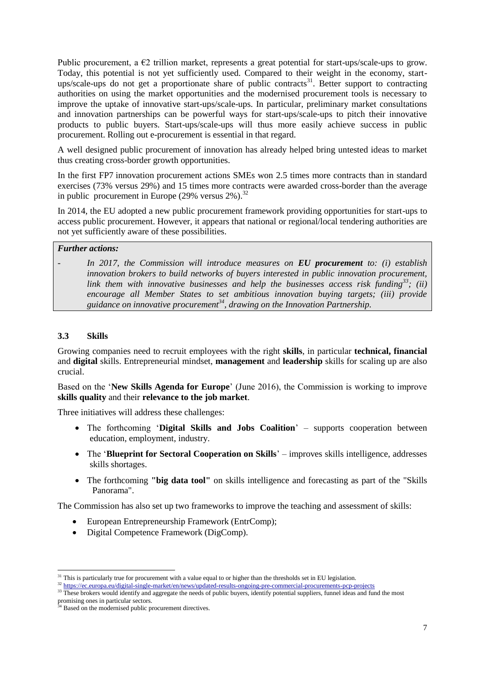Public procurement, a  $E2$  trillion market, represents a great potential for start-ups/scale-ups to grow. Today, this potential is not yet sufficiently used. Compared to their weight in the economy, startups/scale-ups do not get a proportionate share of public contracts<sup>31</sup>. Better support to contracting authorities on using the market opportunities and the modernised procurement tools is necessary to improve the uptake of innovative start-ups/scale-ups. In particular, preliminary market consultations and innovation partnerships can be powerful ways for start-ups/scale-ups to pitch their innovative products to public buyers. Start-ups/scale-ups will thus more easily achieve success in public procurement. Rolling out e-procurement is essential in that regard.

A well designed public procurement of innovation has already helped bring untested ideas to market thus creating cross-border growth opportunities.

In the first FP7 innovation procurement actions SMEs won 2.5 times more contracts than in standard exercises (73% versus 29%) and 15 times more contracts were awarded cross-border than the average in public procurement in Europe  $(29\% \text{ versus } 2\%)$ .<sup>32</sup>

In 2014, the EU adopted a new public procurement framework providing opportunities for start-ups to access public procurement. However, it appears that national or regional/local tendering authorities are not yet sufficiently aware of these possibilities.

### *Further actions:*

*- In 2017, the Commission will introduce measures on EU procurement to: (i) establish innovation brokers to build networks of buyers interested in public innovation procurement, link them with innovative businesses and help the businesses access risk funding<sup>33</sup>; (ii) encourage all Member States to set ambitious innovation buying targets; (iii) provide guidance on innovative procurement<sup>34</sup>, drawing on the Innovation Partnership.*

### **3.3 Skills**

**.** 

Growing companies need to recruit employees with the right **skills**, in particular **technical, financial** and **digital** skills. Entrepreneurial mindset, **management** and **leadership** skills for scaling up are also crucial.

Based on the '**New Skills Agenda for Europe**' (June 2016), the Commission is working to improve **skills quality** and their **relevance to the job market**.

Three initiatives will address these challenges:

- The forthcoming '**Digital Skills and Jobs Coalition**' supports cooperation between education, employment, industry.
- The **'Blueprint for Sectoral Cooperation on Skills**' improves skills intelligence, addresses skills shortages.
- The forthcoming "big data tool" on skills intelligence and forecasting as part of the "Skills" Panorama".

The Commission has also set up two frameworks to improve the teaching and assessment of skills:

- European Entrepreneurship Framework (EntrComp);
- Digital Competence Framework (DigComp).

 $31$  This is particularly true for procurement with a value equal to or higher than the thresholds set in EU legislation.

<sup>32</sup> <https://ec.europa.eu/digital-single-market/en/news/updated-results-ongoing-pre-commercial-procurements-pcp-projects>

<sup>&</sup>lt;sup>33</sup> These brokers would identify and aggregate the needs of public buyers, identify potential suppliers, funnel ideas and fund the most promising ones in particular sectors.

<sup>&</sup>lt;sup>4</sup> Based on the modernised public procurement directives.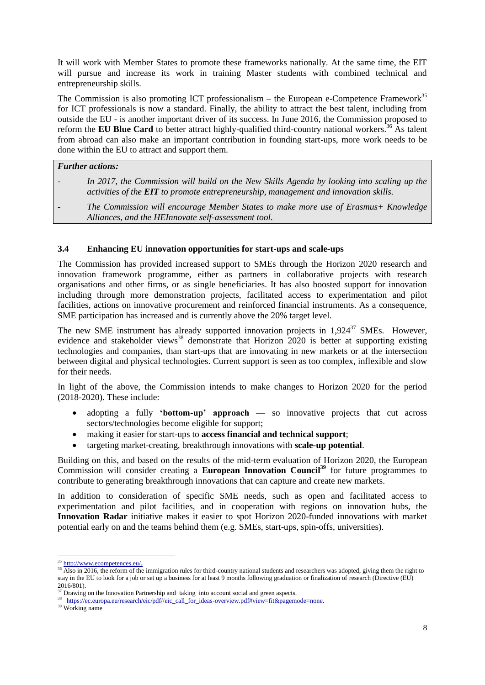It will work with Member States to promote these frameworks nationally. At the same time, the EIT will pursue and increase its work in training Master students with combined technical and entrepreneurship skills.

The Commission is also promoting ICT professionalism – the European e-Competence Framework<sup>35</sup> for ICT professionals is now a standard. Finally, the ability to attract the best talent, including from outside the EU - is another important driver of its success. In June 2016, the Commission proposed to reform the **EU Blue Card** to better attract highly-qualified third-country national workers.<sup>36</sup> As talent from abroad can also make an important contribution in founding start-ups, more work needs to be done within the EU to attract and support them.

#### *Further actions:*

- *- In 2017, the Commission will build on the New Skills Agenda by looking into scaling up the activities of the EIT to promote entrepreneurship, management and innovation skills.*
- *- The Commission will encourage Member States to make more use of Erasmus+ Knowledge Alliances, and the HEInnovate self-assessment tool.*

### **3.4 Enhancing EU innovation opportunities for start-ups and scale-ups**

The Commission has provided increased support to SMEs through the Horizon 2020 research and innovation framework programme, either as partners in collaborative projects with research organisations and other firms, or as single beneficiaries. It has also boosted support for innovation including through more demonstration projects, facilitated access to experimentation and pilot facilities, actions on innovative procurement and reinforced financial instruments. As a consequence, SME participation has increased and is currently above the 20% target level.

The new SME instrument has already supported innovation projects in  $1.924^{37}$  SMEs. However, evidence and stakeholder views<sup>38</sup> demonstrate that Horizon  $2020$  is better at supporting existing technologies and companies, than start-ups that are innovating in new markets or at the intersection between digital and physical technologies. Current support is seen as too complex, inflexible and slow for their needs.

In light of the above, the Commission intends to make changes to Horizon 2020 for the period (2018-2020). These include:

- adopting a fully **'bottom-up' approach** so innovative projects that cut across sectors/technologies become eligible for support;
- making it easier for start-ups to **access financial and technical support**;
- targeting market-creating, breakthrough innovations with **scale-up potential**.

Building on this, and based on the results of the mid-term evaluation of Horizon 2020, the European Commission will consider creating a **European Innovation Council<sup>39</sup>** for future programmes to contribute to generating breakthrough innovations that can capture and create new markets.

In addition to consideration of specific SME needs, such as open and facilitated access to experimentation and pilot facilities, and in cooperation with regions on innovation hubs, the **Innovation Radar** initiative makes it easier to spot Horizon 2020-funded innovations with market potential early on and the teams behind them (e.g. SMEs, start-ups, spin-offs, universities).

**<sup>.</sup>** http://www.ecompetences.eu/.

<sup>&</sup>lt;sup>36</sup> Also in 2016, the reform of the immigration rules for third-country national students and researchers was adopted, giving them the right to stay in the EU to look for a job or set up a business for at least 9 months following graduation or finalization of research (Directive (EU) 2016/801).

 $\frac{37}{37}$  Drawing on the Innovation Partnership and taking into account social and green aspects.

<sup>&</sup>lt;sup>38</sup> https://ec.europa.eu/research/eic/pdf//eic\_call\_for\_ideas-overview.pdf#view=fit&pagemode=none.

<sup>39</sup> Working name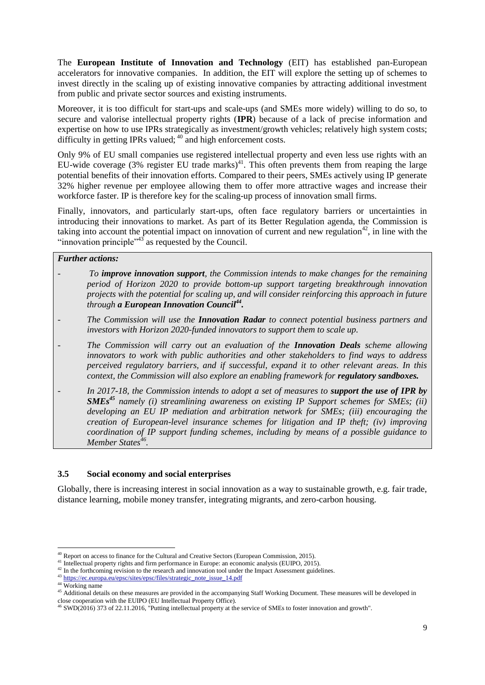The **European Institute of Innovation and Technology** (EIT) has established pan-European accelerators for innovative companies. In addition, the EIT will explore the setting up of schemes to invest directly in the scaling up of existing innovative companies by attracting additional investment from public and private sector sources and existing instruments.

Moreover, it is too difficult for start-ups and scale-ups (and SMEs more widely) willing to do so, to secure and valorise intellectual property rights (**IPR**) because of a lack of precise information and expertise on how to use IPRs strategically as investment/growth vehicles; relatively high system costs; difficulty in getting IPRs valued:  $40$  and high enforcement costs.

Only 9% of EU small companies use registered intellectual property and even less use rights with an EU-wide coverage (3% register EU trade marks)<sup>41</sup>. This often prevents them from reaping the large potential benefits of their innovation efforts. Compared to their peers, SMEs actively using IP generate 32% higher revenue per employee allowing them to offer more attractive wages and increase their workforce faster. IP is therefore key for the scaling-up process of innovation small firms.

Finally, innovators, and particularly start-ups, often face regulatory barriers or uncertainties in introducing their innovations to market. As part of its Better Regulation agenda, the Commission is taking into account the potential impact on innovation of current and new regulation<sup>42</sup>, in line with the "innovation principle" $43$ <sup>3</sup> as requested by the Council.

### *Further actions:*

- *- To improve innovation support, the Commission intends to make changes for the remaining period of Horizon 2020 to provide bottom-up support targeting breakthrough innovation projects with the potential for scaling up, and will consider reinforcing this approach in future through a European Innovation Council<sup>44</sup> .*
- *- The Commission will use the Innovation Radar to connect potential business partners and investors with Horizon 2020-funded innovators to support them to scale up.*
- *- The Commission will carry out an evaluation of the Innovation Deals scheme allowing innovators to work with public authorities and other stakeholders to find ways to address perceived regulatory barriers, and if successful, expand it to other relevant areas. In this context, the Commission will also explore an enabling framework for <i>regulatory sandboxes.*
- *- In 2017-18, the Commission intends to adopt a set of measures to support the use of IPR by SMEs<sup>45</sup> namely (i) streamlining awareness on existing IP Support schemes for SMEs; (ii) developing an EU IP mediation and arbitration network for SMEs; (iii) encouraging the creation of European-level insurance schemes for litigation and IP theft; (iv) improving coordination of IP support funding schemes, including by means of a possible guidance to Member States<sup>46</sup> .*

# **3.5 Social economy and social enterprises**

Globally, there is increasing interest in social innovation as a way to sustainable growth, e.g. fair trade, distance learning, mobile money transfer, integrating migrants, and zero-carbon housing.

**.** 

Report on access to finance for the Cultural and Creative Sectors (European Commission, 2015).

<sup>&</sup>lt;sup>41</sup> Intellectual property rights and firm performance in Europe: an economic analysis (EUIPO, 2015).

<sup>&</sup>lt;sup>42</sup> In the forthcoming revision to the research and innovation tool under the Impact Assessment guidelines.

<sup>&</sup>lt;sup>43</sup> https://ec.europa.eu/epsc/sites/epsc/files/strategic\_note\_issue\_14.pdf

<sup>&</sup>lt;sup>44</sup> Working name

<sup>&</sup>lt;sup>45</sup> Additional details on these measures are provided in the accompanying Staff Working Document. These measures will be developed in close cooperation with the EUIPO (EU Intellectual Property Office).

<sup>&</sup>lt;sup>46</sup> SWD(2016) 373 of 22.11.2016, "Putting intellectual property at the service of SMEs to foster innovation and growth".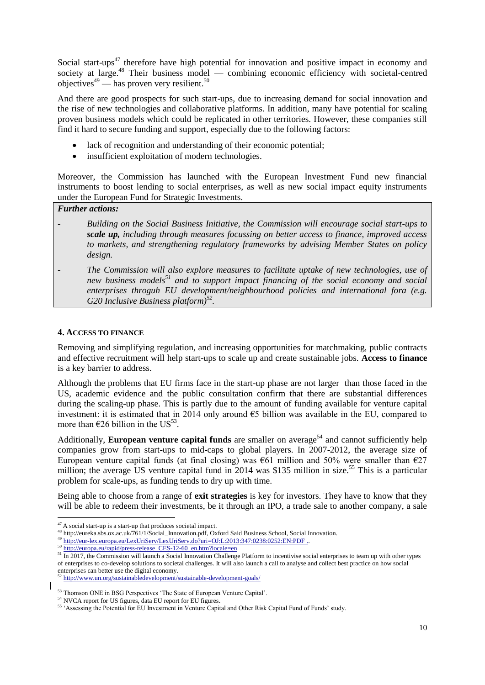Social start-ups<sup>47</sup> therefore have high potential for innovation and positive impact in economy and society at large.<sup>48</sup> Their business model — combining economic efficiency with societal-centred objectives $49$  — has proven very resilient.<sup>50</sup>

And there are good prospects for such start-ups, due to increasing demand for social innovation and the rise of new technologies and collaborative platforms. In addition, many have potential for scaling proven business models which could be replicated in other territories. However, these companies still find it hard to secure funding and support, especially due to the following factors:

- lack of recognition and understanding of their economic potential;
- insufficient exploitation of modern technologies.

Moreover, the Commission has launched with the European Investment Fund new financial instruments to boost lending to social enterprises, as well as new social impact equity instruments under the European Fund for Strategic Investments.

# *Further actions:*

- *- Building on the Social Business Initiative, the Commission will encourage social start-ups to scale up, including through measures focussing on better access to finance, improved access to markets, and strengthening regulatory frameworks by advising Member States on policy design.*
- *- The Commission will also explore measures to facilitate uptake of new technologies, use of new business models<sup>51</sup> and to support impact financing of the social economy and social enterprises throguh EU development/neighbourhood policies and international fora (e.g. G20 Inclusive Business platform)<sup>52</sup> .*

#### **4. ACCESS TO FINANCE**

1

Removing and simplifying regulation, and increasing opportunities for matchmaking, public contracts and effective recruitment will help start-ups to scale up and create sustainable jobs. **Access to finance** is a key barrier to address.

Although the problems that EU firms face in the start-up phase are not larger than those faced in the US, academic evidence and the public consultation confirm that there are substantial differences during the scaling-up phase. This is partly due to the amount of funding available for venture capital investment: it is estimated that in 2014 only around €5 billion was available in the EU, compared to more than  $\epsilon$ 26 billion in the US<sup>53</sup>.

Additionally, **European venture capital funds** are smaller on average<sup>54</sup> and cannot sufficiently help companies grow from start-ups to mid-caps to global players. In 2007-2012, the average size of European venture capital funds (at final closing) was  $\epsilon$ 61 million and 50% were smaller than  $\epsilon$ 27 million; the average US venture capital fund in  $2014$  was \$135 million in size.<sup>55</sup> This is a particular problem for scale-ups, as funding tends to dry up with time.

Being able to choose from a range of **exit strategies** is key for investors. They have to know that they will be able to redeem their investments, be it through an IPO, a trade sale to another company, a sale

 $47$  A social start-up is a start-up that produces societal impact.

<sup>48</sup> [http://eureka.sbs.ox.ac.uk/761/1/Social\\_Innovation.pdf,](http://eureka.sbs.ox.ac.uk/761/1/Social_Innovation.pdf) Oxford Said Business School, Social Innovation.

<sup>49</sup> <http://eur-lex.europa.eu/LexUriServ/LexUriServ.do?uri=OJ:L:2013:347:0238:0252:EN:PDF> .

<sup>50</sup> [http://europa.eu/rapid/press-release\\_CES-12-60\\_en.htm?locale=en](http://europa.eu/rapid/press-release_CES-12-60_en.htm?locale=en)

<sup>&</sup>lt;sup>51</sup> In 2017, the Commission will launch a Social Innovation Challenge Platform to incentivise social enterprises to team up with other types of enterprises to co-develop solutions to societal challenges. It will also launch a call to analyse and collect best practice on how social enterprises can better use the digital economy.

<sup>52</sup> <http://www.un.org/sustainabledevelopment/sustainable-development-goals/>

<sup>53</sup> Thomson ONE in BSG Perspectives 'The State of European Venture Capital'.

<sup>&</sup>lt;sup>54</sup> NVCA report for US figures, data EU report for EU figures.

<sup>55</sup> 'Assessing the Potential for EU Investment in Venture Capital and Other Risk Capital Fund of Funds' study.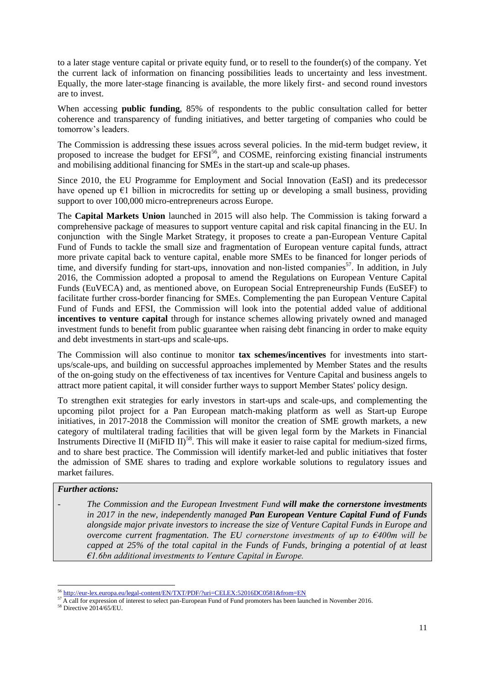to a later stage venture capital or private equity fund, or to resell to the founder(s) of the company. Yet the current lack of information on financing possibilities leads to uncertainty and less investment. Equally, the more later-stage financing is available, the more likely first- and second round investors are to invest.

When accessing **public funding**, 85% of respondents to the public consultation called for better coherence and transparency of funding initiatives, and better targeting of companies who could be tomorrow's leaders.

The Commission is addressing these issues across several policies. In the mid-term budget review, it proposed to increase the budget for EFSI<sup>56</sup>, and COSME, reinforcing existing financial instruments and mobilising additional financing for SMEs in the start-up and scale-up phases.

Since 2010, the EU Programme for Employment and Social Innovation (EaSI) and its predecessor have opened up  $\epsilon$ 1 billion in microcredits for setting up or developing a small business, providing support to over 100,000 micro-entrepreneurs across Europe.

The **Capital Markets Union** launched in 2015 will also help. The Commission is taking forward a comprehensive package of measures to support venture capital and risk capital financing in the EU. In conjunction with the Single Market Strategy, it proposes to create a pan-European Venture Capital Fund of Funds to tackle the small size and fragmentation of European venture capital funds, attract more private capital back to venture capital, enable more SMEs to be financed for longer periods of time, and diversify funding for start-ups, innovation and non-listed companies<sup>57</sup>. In addition, in July 2016, the Commission adopted a proposal to amend the Regulations on European Venture Capital Funds (EuVECA) and, as mentioned above, on European Social Entrepreneurship Funds (EuSEF) to facilitate further cross-border financing for SMEs. Complementing the pan European Venture Capital Fund of Funds and EFSI, the Commission will look into the potential added value of additional **incentives to venture capital** through for instance schemes allowing privately owned and managed investment funds to benefit from public guarantee when raising debt financing in order to make equity and debt investments in start-ups and scale-ups.

The Commission will also continue to monitor **tax schemes/incentives** for investments into startups/scale-ups, and building on successful approaches implemented by Member States and the results of the on-going study on the effectiveness of tax incentives for Venture Capital and business angels to attract more patient capital, it will consider further ways to support Member States' policy design.

To strengthen exit strategies for early investors in start-ups and scale-ups, and complementing the upcoming pilot project for a Pan European match-making platform as well as Start-up Europe initiatives, in 2017-2018 the Commission will monitor the creation of SME growth markets, a new category of multilateral trading facilities that will be given legal form by the Markets in Financial Instruments Directive II (MiFID II)<sup>58</sup>. This will make it easier to raise capital for medium-sized firms, and to share best practice. The Commission will identify market-led and public initiatives that foster the admission of SME shares to trading and explore workable solutions to regulatory issues and market failures.

### *Further actions:*

*- The Commission and the European Investment Fund will make the cornerstone investments in 2017 in the new, independently managed Pan European Venture Capital Fund of Funds alongside major private investors to increase the size of Venture Capital Funds in Europe and overcome current fragmentation. The EU cornerstone investments of up to €400m will be capped at 25% of the total capital in the Funds of Funds, bringing a potential of at least €1.6bn additional investments to Venture Capital in Europe.* 

<sup>1</sup> <sup>56</sup> <http://eur-lex.europa.eu/legal-content/EN/TXT/PDF/?uri=CELEX:52016DC0581&from=EN>

 $57$  A call for expression of interest to select pan-European Fund of Fund promoters has been launched in November 2016.

<sup>58</sup> Directive 2014/65/EU.